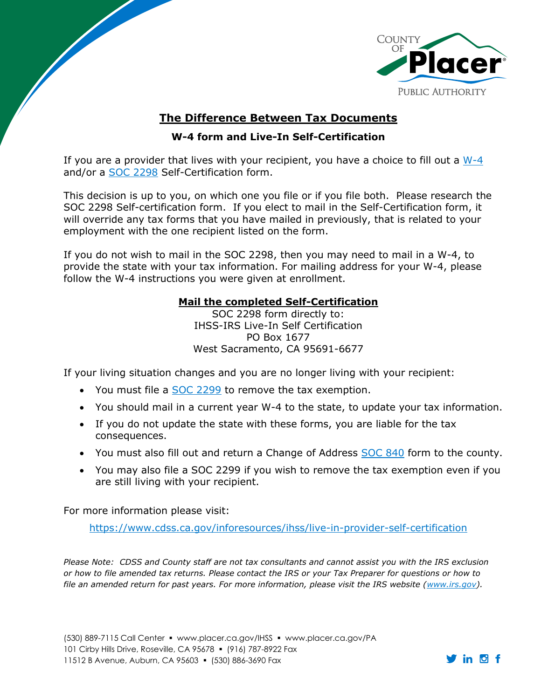

## **The Difference Between Tax Documents**

## **W-4 form and Live-In Self-Certification**

If you are a provider that lives with your recipient, you have a choice to fill out a [W-4](https://www.irs.gov/forms-pubs/about-form-w-4) and/or a [SOC 2298](https://www.cdss.ca.gov/inforesources/ihss/live-in-provider-self-certification) Self-Certification form.

This decision is up to you, on which one you file or if you file both. Please research the SOC 2298 Self-certification form. If you elect to mail in the Self-Certification form, it will override any tax forms that you have mailed in previously, that is related to your employment with the one recipient listed on the form.

If you do not wish to mail in the SOC 2298, then you may need to mail in a W-4, to provide the state with your tax information. For mailing address for your W-4, please follow the W-4 instructions you were given at enrollment.

## **Mail the completed Self-Certification**

SOC 2298 form directly to: IHSS-IRS Live-In Self Certification PO Box 1677 West Sacramento, CA 95691-6677

If your living situation changes and you are no longer living with your recipient:

- You must file a [SOC 2299](https://www.cdss.ca.gov/Portals/9/FMUForms/Q-T/SOC2299.pdf) to remove the tax exemption.
- You should mail in a current year W-4 to the state, to update your tax information.
- If you do not update the state with these forms, you are liable for the tax consequences.
- You must also fill out and return a Change of Address [SOC 840](https://www.cdss.ca.gov/cdssweb/entres/forms/English/SOC840.pdf) form to the county.
- You may also file a SOC 2299 if you wish to remove the tax exemption even if you are still living with your recipient.

For more information please visit:

 $\overline{\phantom{a}}$ 

<https://www.cdss.ca.gov/inforesources/ihss/live-in-provider-self-certification>

*Please Note: CDSS and County staff are not tax consultants and cannot assist you with the IRS exclusion or how to file amended tax returns. Please contact the IRS or your Tax Preparer for questions or how to*  file an amended return for past years. For more information, please visit the IRS website [\(www.irs.gov\)](http://www.irs.gov/).